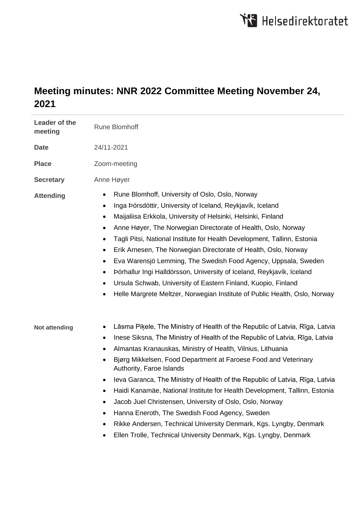## **Meeting minutes: NNR 2022 Committee Meeting November 24, 2021**

| Leader of the<br>meeting | <b>Rune Blomhoff</b>                                                                                                                                                                                                                                                                                                                                                                                                                                                                                                                                                                                                                                                                                                                                                                       |
|--------------------------|--------------------------------------------------------------------------------------------------------------------------------------------------------------------------------------------------------------------------------------------------------------------------------------------------------------------------------------------------------------------------------------------------------------------------------------------------------------------------------------------------------------------------------------------------------------------------------------------------------------------------------------------------------------------------------------------------------------------------------------------------------------------------------------------|
| <b>Date</b>              | 24/11-2021                                                                                                                                                                                                                                                                                                                                                                                                                                                                                                                                                                                                                                                                                                                                                                                 |
| <b>Place</b>             | Zoom-meeting                                                                                                                                                                                                                                                                                                                                                                                                                                                                                                                                                                                                                                                                                                                                                                               |
| <b>Secretary</b>         | Anne Høyer                                                                                                                                                                                                                                                                                                                                                                                                                                                                                                                                                                                                                                                                                                                                                                                 |
| <b>Attending</b>         | Rune Blomhoff, University of Oslo, Oslo, Norway<br>٠<br>Inga Þórsdóttir, University of Iceland, Reykjavík, Iceland<br>$\bullet$<br>Maijaliisa Erkkola, University of Helsinki, Helsinki, Finland<br>$\bullet$<br>Anne Høyer, The Norwegian Directorate of Health, Oslo, Norway<br>$\bullet$<br>Tagli Pitsi, National Institute for Health Development, Tallinn, Estonia<br>$\bullet$<br>Erik Arnesen, The Norwegian Directorate of Health, Oslo, Norway<br>$\bullet$<br>Eva Warensjö Lemming, The Swedish Food Agency, Uppsala, Sweden<br>$\bullet$<br>Þórhallur Ingi Halldórsson, University of Iceland, Reykjavík, Iceland<br>٠<br>Ursula Schwab, University of Eastern Finland, Kuopio, Finland<br>٠<br>Helle Margrete Meltzer, Norwegian Institute of Public Health, Oslo, Norway<br>٠ |
| <b>Not attending</b>     | Lāsma Piķele, The Ministry of Health of the Republic of Latvia, Rīga, Latvia<br>Inese Siksna, The Ministry of Health of the Republic of Latvia, Rīga, Latvia<br>٠<br>Almantas Kranauskas, Ministry of Health, Vilnius, Lithuania<br>٠<br>Bjørg Mikkelsen, Food Department at Faroese Food and Veterinary<br>٠<br>Authority, Faroe Islands<br>leva Garanca, The Ministry of Health of the Republic of Latvia, Rīga, Latvia<br>Haidi Kanamäe, National Institute for Health Development, Tallinn, Estonia<br>Jacob Juel Christensen, University of Oslo, Oslo, Norway<br>Hanna Eneroth, The Swedish Food Agency, Sweden<br>٠<br>Rikke Andersen, Technical University Denmark, Kgs. Lyngby, Denmark<br>٠<br>Ellen Trolle, Technical University Denmark, Kgs. Lyngby, Denmark<br>٠             |